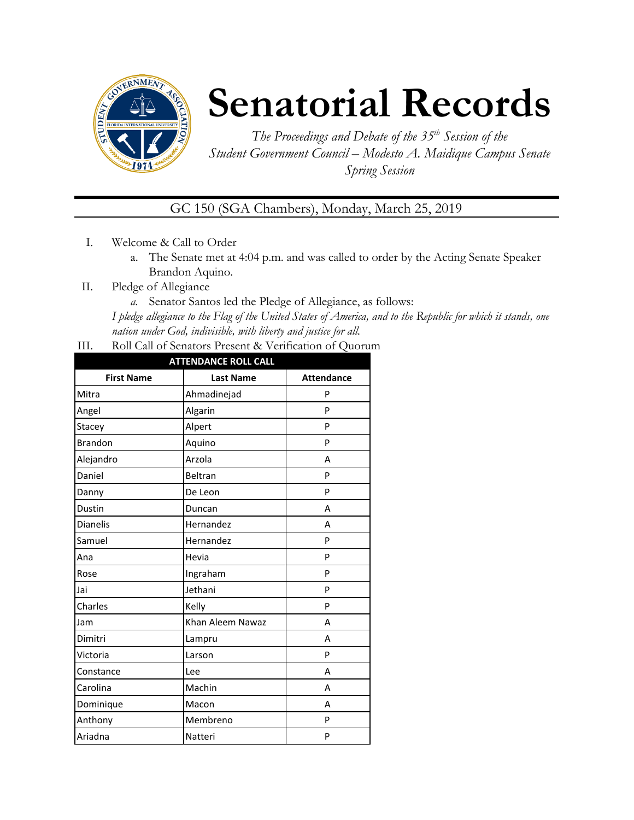

## **Senatorial Records**

*The Proceedings and Debate of the 35 th Session of the Student Government Council – Modesto A. Maidique Campus Senate Spring Session*

GC 150 (SGA Chambers), Monday, March 25, 2019

- I. Welcome & Call to Order
	- a. The Senate met at 4:04 p.m. and was called to order by the Acting Senate Speaker Brandon Aquino.
- II. Pledge of Allegiance
	- *a.* Senator Santos led the Pledge of Allegiance, as follows:

*I pledge allegiance to the Flag of the United States of America, and to the Republic for which it stands, one nation under God, indivisible, with liberty and justice for all.*

III. Roll Call of Senators Present & Verification of Quorum

| <b>ATTENDANCE ROLL CALL</b> |                  |                   |  |
|-----------------------------|------------------|-------------------|--|
| <b>First Name</b>           | <b>Last Name</b> | <b>Attendance</b> |  |
| Mitra                       | Ahmadinejad      | P                 |  |
| Angel                       | Algarin          | P                 |  |
| Stacey                      | Alpert           | P                 |  |
| <b>Brandon</b>              | Aquino           | P                 |  |
| Alejandro                   | Arzola           | A                 |  |
| Daniel                      | Beltran          | P                 |  |
| Danny                       | De Leon          | P                 |  |
| Dustin                      | Duncan           | А                 |  |
| Dianelis                    | Hernandez        | A                 |  |
| Samuel                      | Hernandez        | P                 |  |
| Ana                         | Hevia            | P                 |  |
| Rose                        | Ingraham         | P                 |  |
| Jai                         | Jethani          | P                 |  |
| Charles                     | Kelly            | P                 |  |
| Jam                         | Khan Aleem Nawaz | Α                 |  |
| Dimitri                     | Lampru           | А                 |  |
| Victoria                    | Larson           | P                 |  |
| Constance                   | Lee              | Α                 |  |
| Carolina                    | Machin           | A                 |  |
| Dominique                   | Macon            | А                 |  |
| Anthony                     | Membreno         | P                 |  |
| Ariadna                     | Natteri          | P                 |  |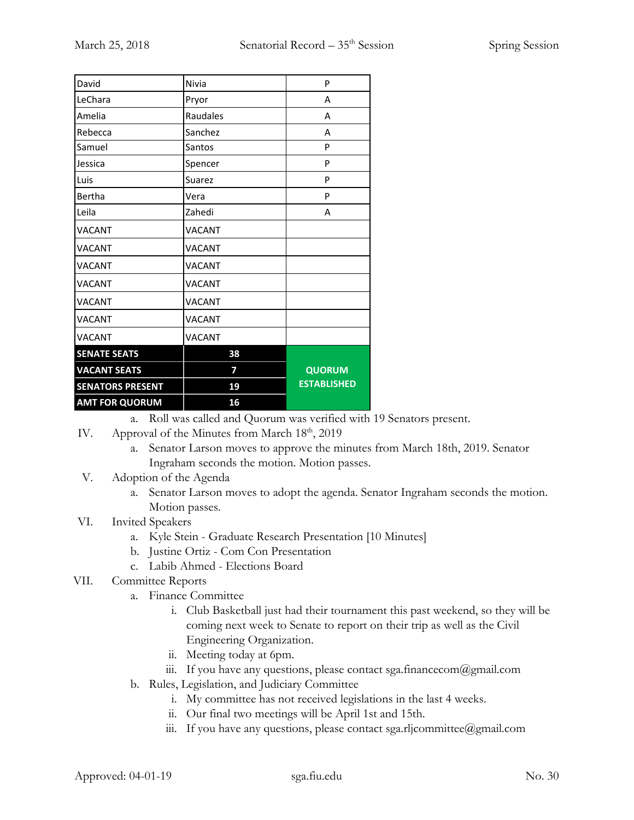| David                   | Nivia         | P                  |
|-------------------------|---------------|--------------------|
| LeChara                 | Pryor         | A                  |
| Amelia                  | Raudales      | А                  |
| Rebecca                 | Sanchez       | А                  |
| Samuel                  | Santos        | P                  |
| Jessica                 | Spencer       | P                  |
| Luis                    | Suarez        | P                  |
| Bertha                  | Vera          | P                  |
| Leila                   | Zahedi        | А                  |
| <b>VACANT</b>           | <b>VACANT</b> |                    |
| <b>VACANT</b>           | <b>VACANT</b> |                    |
| <b>VACANT</b>           | <b>VACANT</b> |                    |
| <b>VACANT</b>           | <b>VACANT</b> |                    |
| <b>VACANT</b>           | <b>VACANT</b> |                    |
| <b>VACANT</b>           | <b>VACANT</b> |                    |
| <b>VACANT</b>           | <b>VACANT</b> |                    |
| <b>SENATE SEATS</b>     | 38            |                    |
| <b>VACANT SEATS</b>     | 7             | <b>QUORUM</b>      |
| <b>SENATORS PRESENT</b> | 19            | <b>ESTABLISHED</b> |
| <b>AMT FOR QUORUM</b>   | 16            |                    |

a. Roll was called and Quorum was verified with 19 Senators present.

- IV. Approval of the Minutes from March 18<sup>th</sup>, 2019
	- a. Senator Larson moves to approve the minutes from March 18th, 2019. Senator Ingraham seconds the motion. Motion passes.
- V. Adoption of the Agenda
	- a. Senator Larson moves to adopt the agenda. Senator Ingraham seconds the motion. Motion passes.
- VI. Invited Speakers
	- a. Kyle Stein Graduate Research Presentation [10 Minutes]
	- b. Justine Ortiz Com Con Presentation
	- c. Labib Ahmed Elections Board
- VII. Committee Reports
	- a. Finance Committee
		- i. Club Basketball just had their tournament this past weekend, so they will be coming next week to Senate to report on their trip as well as the Civil Engineering Organization.
		- ii. Meeting today at 6pm.
		- iii. If you have any questions, please contact sga.financecom@gmail.com
	- b. Rules, Legislation, and Judiciary Committee
		- i. My committee has not received legislations in the last 4 weeks.
		- ii. Our final two meetings will be April 1st and 15th.
		- iii. If you have any questions, please contact sga.rljcommittee@gmail.com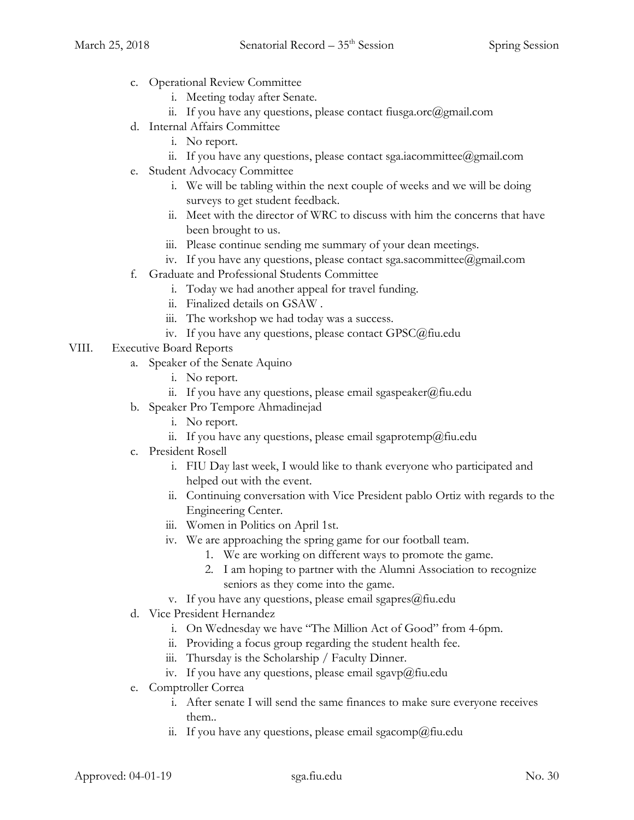- c. Operational Review Committee
	- i. Meeting today after Senate.
	- ii. If you have any questions, please contact fiusga.orc $(\partial g$ mail.com
- d. Internal Affairs Committee
	- i. No report.
	- ii. If you have any questions, please contact sga.iacommittee@gmail.com
- e. Student Advocacy Committee
	- i. We will be tabling within the next couple of weeks and we will be doing surveys to get student feedback.
	- ii. Meet with the director of WRC to discuss with him the concerns that have been brought to us.
	- iii. Please continue sending me summary of your dean meetings.
	- iv. If you have any questions, please contact sga.sacommittee@gmail.com
- f. Graduate and Professional Students Committee
	- i. Today we had another appeal for travel funding.
	- ii. Finalized details on GSAW .
	- iii. The workshop we had today was a success.
	- iv. If you have any questions, please contact GPSC@fiu.edu
- VIII. Executive Board Reports
	- a. Speaker of the Senate Aquino
		- i. No report.
		- ii. If you have any questions, please email sgaspeaker@fiu.edu
	- b. Speaker Pro Tempore Ahmadinejad
		- i. No report.
		- ii. If you have any questions, please email sgaprotemp@fiu.edu
	- c. President Rosell
		- i. FIU Day last week, I would like to thank everyone who participated and helped out with the event.
		- ii. Continuing conversation with Vice President pablo Ortiz with regards to the Engineering Center.
		- iii. Women in Politics on April 1st.
		- iv. We are approaching the spring game for our football team.
			- 1. We are working on different ways to promote the game.
			- 2. I am hoping to partner with the Alumni Association to recognize seniors as they come into the game.
		- v. If you have any questions, please email sgapres $@$ fiu.edu
	- d. Vice President Hernandez
		- i. On Wednesday we have "The Million Act of Good" from 4-6pm.
		- ii. Providing a focus group regarding the student health fee.
		- iii. Thursday is the Scholarship / Faculty Dinner.
		- iv. If you have any questions, please email sgavp $@$ fiu.edu
	- e. Comptroller Correa
		- i. After senate I will send the same finances to make sure everyone receives them..
		- ii. If you have any questions, please email sgacomp@fiu.edu